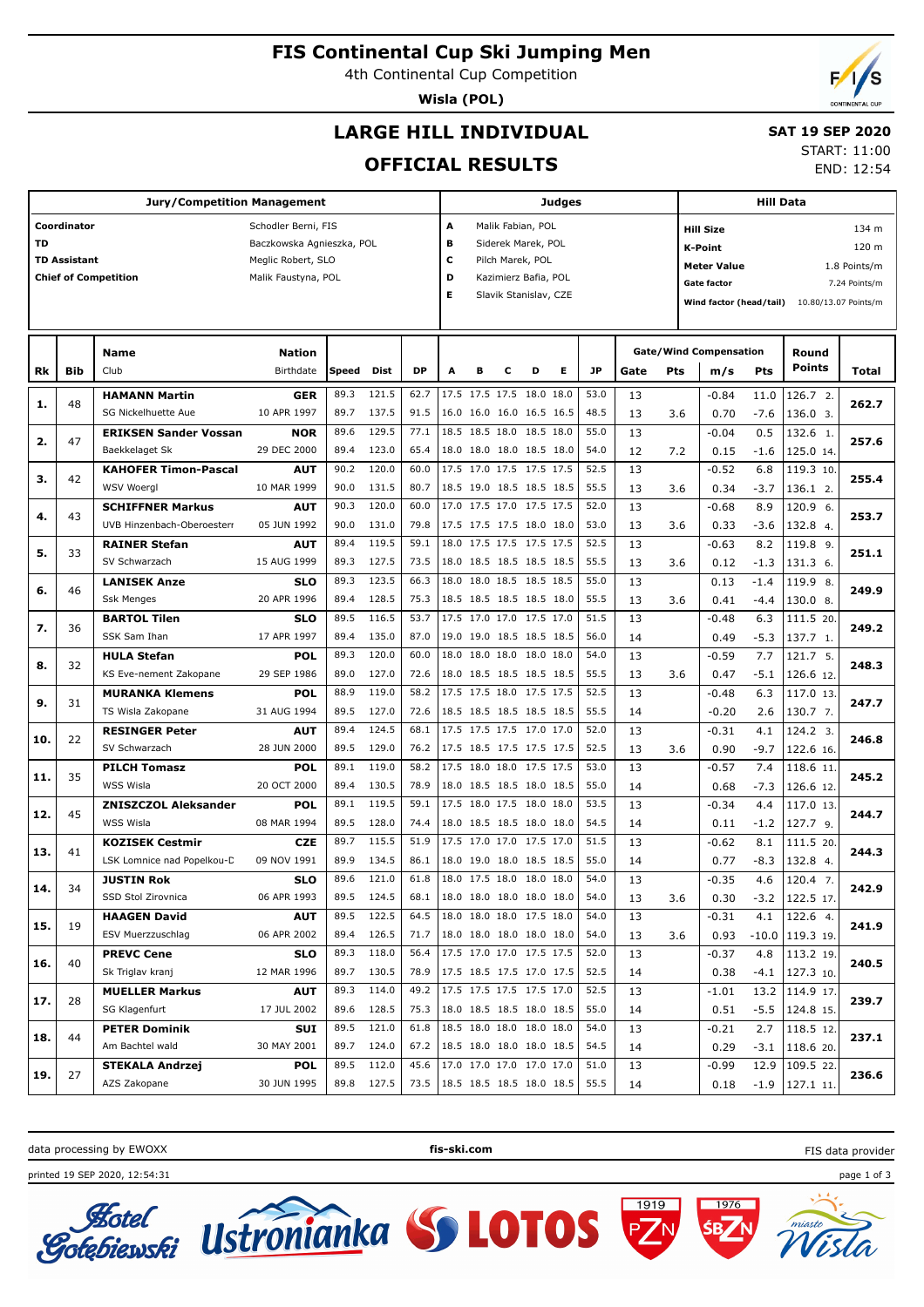## **FIS Continental Cup Ski Jumping Men**

4th Continental Cup Competition

**Wisla (POL)**

# **LARGE HILL INDIVIDUAL**

### **SAT 19 SEP 2020** START: 11:00

**OFFICIAL RESULTS**

|           |                     | <b>Jury/Competition Management</b>      |                           |              |                     |                                 |                            |   |                                                 |   | Judges |              |          |     |                               | <b>Hill Data</b> |                                |                      |
|-----------|---------------------|-----------------------------------------|---------------------------|--------------|---------------------|---------------------------------|----------------------------|---|-------------------------------------------------|---|--------|--------------|----------|-----|-------------------------------|------------------|--------------------------------|----------------------|
|           | Coordinator         |                                         | Schodler Berni, FIS       |              |                     |                                 | A                          |   | Malik Fabian, POL                               |   |        |              |          |     | <b>Hill Size</b>              |                  |                                | 134 m                |
| <b>TD</b> |                     |                                         | Baczkowska Agnieszka, POL |              |                     |                                 | в                          |   | Siderek Marek, POL                              |   |        |              |          |     | <b>K-Point</b>                |                  |                                | 120 m                |
|           | <b>TD Assistant</b> |                                         | Meglic Robert, SLO        |              |                     |                                 | c                          |   | Pilch Marek, POL                                |   |        |              |          |     | <b>Meter Value</b>            |                  |                                |                      |
|           |                     | <b>Chief of Competition</b>             | Malik Faustyna, POL       |              |                     |                                 | D                          |   | Kazimierz Bafia, POL                            |   |        |              |          |     | Gate factor                   |                  |                                | 1.8 Points/m         |
|           |                     |                                         |                           |              |                     |                                 | Е                          |   | Slavik Stanislav, CZE                           |   |        |              |          |     |                               |                  |                                | 7.24 Points/m        |
|           |                     |                                         |                           |              |                     |                                 |                            |   |                                                 |   |        |              |          |     | Wind factor (head/tail)       |                  |                                | 10.80/13.07 Points/m |
|           |                     |                                         |                           |              |                     |                                 |                            |   |                                                 |   |        |              |          |     |                               |                  |                                |                      |
|           |                     | Name                                    | <b>Nation</b>             |              |                     |                                 |                            |   |                                                 |   |        |              |          |     | <b>Gate/Wind Compensation</b> |                  | Round                          |                      |
| Rk        | Bib                 | Club                                    | Birthdate                 | Speed        | <b>Dist</b>         | <b>DP</b>                       | A                          | в | C                                               | D | Е      | JP           | Gate     | Pts | m/s                           | Pts              | Points                         | Total                |
| 1.        | 48                  | <b>HAMANN Martin</b>                    | <b>GER</b>                | 89.3         | 121.5               | 62.7                            |                            |   | 17.5 17.5 17.5 18.0 18.0                        |   |        | 53.0         | 13       |     | $-0.84$                       | 11.0             | 126.7 2.                       | 262.7                |
|           |                     | SG Nickelhuette Aue                     | 10 APR 1997               | 89.7         | 137.5               | 91.5                            |                            |   | 16.0 16.0 16.0 16.5 16.5                        |   |        | 48.5         | 13       | 3.6 | 0.70                          | $-7.6$           | 136.0 3.                       |                      |
| 2.        | 47                  | <b>ERIKSEN Sander Vossan</b>            | <b>NOR</b>                | 89.6         | 129.5               | 77.1                            |                            |   | 18.5 18.5 18.0 18.5 18.0                        |   |        | 55.0         | 13       |     | $-0.04$                       | 0.5              | 132.6 1.                       | 257.6                |
|           |                     | Baekkelaget Sk                          | 29 DEC 2000               | 89.4         | 123.0               | 65.4                            |                            |   | 18.0 18.0 18.0 18.5 18.0                        |   |        | 54.0         | 12       | 7.2 | 0.15                          | $-1.6$           | 125.0 14.                      |                      |
| з.        | 42                  | <b>KAHOFER Timon-Pascal</b>             | AUT                       | 90.2         | 120.0               | 60.0                            |                            |   | 17.5 17.0 17.5 17.5 17.5                        |   |        | 52.5         | 13       |     | $-0.52$                       | 6.8              | 119.3 10.                      | 255.4                |
|           |                     | <b>WSV Woergl</b>                       | 10 MAR 1999               | 90.0         | 131.5               | 80.7                            |                            |   | 18.5 19.0 18.5 18.5 18.5                        |   |        | 55.5         | 13       | 3.6 | 0.34                          | $-3.7$           | 136.1 2.                       |                      |
| 4.        | 43                  | <b>SCHIFFNER Markus</b>                 | AUT                       | 90.3         | 120.0               | 60.0                            |                            |   | 17.0 17.5 17.0 17.5 17.5                        |   |        | 52.0         | 13       |     | $-0.68$                       | 8.9              | 120.9 6.                       | 253.7                |
|           |                     | UVB Hinzenbach-Oberoesterr              | 05 JUN 1992               | 90.0<br>89.4 | 131.0<br>119.5      | 79.8<br>59.1                    | 18.0                       |   | 17.5 17.5 17.5 18.0 18.0<br>17.5 17.5 17.5 17.5 |   |        | 53.0<br>52.5 | 13       | 3.6 | 0.33                          | $-3.6$           | 132.8 4.                       |                      |
| 5.        | 33                  | <b>RAINER Stefan</b><br>SV Schwarzach   | AUT<br>15 AUG 1999        | 89.3         | 127.5               | 73.5                            |                            |   | 18.0 18.5 18.5 18.5 18.5                        |   |        | 55.5         | 13<br>13 | 3.6 | $-0.63$<br>0.12               | 8.2<br>$-1.3$    | 119.8 9.<br>131.3 6.           | 251.1                |
|           |                     | <b>LANISEK Anze</b>                     | <b>SLO</b>                | 89.3         | 123.5               | 66.3                            | 18.0                       |   | 18.0 18.5 18.5 18.5                             |   |        | 55.0         | 13       |     | 0.13                          | $-1.4$           | 119.9 8.                       |                      |
| 6.        | 46                  | <b>Ssk Menges</b>                       | 20 APR 1996               | 89.4         | 128.5               | 75.3                            |                            |   | 18.5 18.5 18.5 18.5 18.0                        |   |        | 55.5         | 13       | 3.6 | 0.41                          | $-4.4$           | 130.0 8.                       | 249.9                |
|           |                     | <b>BARTOL Tilen</b>                     | <b>SLO</b>                | 89.5         | 116.5               | 53.7                            |                            |   | 17.5 17.0 17.0 17.5 17.0                        |   |        | 51.5         | 13       |     | $-0.48$                       | 6.3              | 111.5 20.                      |                      |
| 7.        | 36                  | SSK Sam Ihan                            | 17 APR 1997               | 89.4         | 135.0               | 87.0                            |                            |   | 19.0 19.0 18.5 18.5 18.5                        |   |        | 56.0         | 14       |     | 0.49                          | $-5.3$           | 137.7 1.                       | 249.2                |
|           |                     | <b>HULA Stefan</b>                      | <b>POL</b>                | 89.3         | 120.0               | 60.0                            | 18.0                       |   | 18.0 18.0 18.0 18.0                             |   |        | 54.0         | 13       |     | $-0.59$                       | 7.7              | 121.7 5.                       |                      |
| 8.        | 32                  | KS Eve-nement Zakopane                  | 29 SEP 1986               | 89.0         | 127.0               | 72.6                            |                            |   | 18.0 18.5 18.5 18.5 18.5                        |   |        | 55.5         | 13       | 3.6 | 0.47                          | $-5.1$           | 126.6 12.                      | 248.3                |
| 9.        | 31                  | <b>MURANKA Klemens</b>                  | <b>POL</b>                | 88.9         | 119.0               | 58.2                            |                            |   | 17.5 17.5 18.0 17.5 17.5                        |   |        | 52.5         | 13       |     | $-0.48$                       | 6.3              | 117.0 13.                      | 247.7                |
|           |                     | TS Wisla Zakopane                       | 31 AUG 1994               | 89.5         | 127.0               | 72.6                            |                            |   | 18.5 18.5 18.5 18.5 18.5                        |   |        | 55.5         | 14       |     | $-0.20$                       | 2.6              | 130.7 7.                       |                      |
| 10.       | 22                  | <b>RESINGER Peter</b>                   | <b>AUT</b>                | 89.4         | 124.5               | 68.1                            |                            |   | 17.5 17.5 17.5 17.0 17.0                        |   |        | 52.0         | 13       |     | $-0.31$                       | 4.1              | 124.2 3.                       | 246.8                |
|           |                     | SV Schwarzach                           | 28 JUN 2000               | 89.5         | 129.0               | 76.2                            |                            |   | 17.5 18.5 17.5 17.5 17.5                        |   |        | 52.5         | 13       | 3.6 | 0.90                          | $-9.7$           | 122.6 16.                      |                      |
| 11.       | 35                  | <b>PILCH Tomasz</b>                     | <b>POL</b>                | 89.1         | 119.0               | 58.2                            |                            |   | 17.5 18.0 18.0 17.5 17.5                        |   |        | 53.0         | 13       |     | $-0.57$                       | 7.4              | 118.6 11.                      | 245.2                |
|           |                     | <b>WSS Wisla</b>                        | 20 OCT 2000               | 89.4         | 130.5               | 78.9                            |                            |   | 18.0 18.5 18.5 18.0 18.5                        |   |        | 55.0         | 14       |     | 0.68                          | $-7.3$           | 126.6 12.                      |                      |
| 12.       | 45                  | <b>ZNISZCZOL Aleksander</b>             | <b>POL</b>                | 89.1         | 119.5               | 59.1                            |                            |   | 17.5 18.0 17.5 18.0 18.0                        |   |        | 53.5         | 13       |     | $-0.34$                       | 4.4              | 117.0 13.                      | 244.7                |
|           |                     | <b>WSS Wisla</b>                        | 08 MAR 1994               | 89.5         | 128.0               | 74.4                            |                            |   | 18.0 18.5 18.5 18.0 18.0                        |   |        | 54.5         | 14       |     | 0.11                          | $-1.2$           | 127.7 9.                       |                      |
| 13.       | 41                  | <b>KOZISEK Cestmir</b>                  | <b>CZE</b>                | 89.7         | 115.5               | 51.9                            |                            |   | 17.5 17.0 17.0 17.5 17.0                        |   |        | 51.5         | 13       |     | $-0.62$                       | 8.1              | 111.5 20.                      | 244.3                |
|           |                     | LSK Lomnice nad Popelkou-D              | 09 NOV 1991               | 89.9         | 134.5               | 86.1                            |                            |   | 18.0 19.0 18.0 18.5 18.5                        |   |        | 55.0         | 14       |     | 0.77                          | $-8.3$           | 132.8 4.                       |                      |
| 14.       | 34                  | <b>JUSTIN Rok</b><br>SSD Stol Zirovnica | <b>SLO</b><br>06 APR 1993 | 89.6         | 121.0<br>89.5 124.5 | 61.8<br>68.1                    | $18.0$ 18.0 18.0 18.0 18.0 |   | 18.0 17.5 18.0 18.0 18.0                        |   |        | 54.0<br>54.0 | 13       |     | $-0.35$                       | 4.6              | $120.4$ 7.                     | 242.9                |
|           |                     | <b>HAAGEN David</b>                     | <b>AUT</b>                | 89.5         | 122.5               | 64.5                            |                            |   | 18.0 18.0 18.0 17.5 18.0                        |   |        | 54.0         | 13<br>13 | 3.6 | 0.30<br>$-0.31$               | 4.1              | $-3.2$   122.5 17.<br>122.6 4. |                      |
| 15.       | 19                  | ESV Muerzzuschlag                       | 06 APR 2002               | 89.4         | 126.5               | 71.7                            |                            |   | 18.0 18.0 18.0 18.0 18.0                        |   |        | 54.0         | 13       | 3.6 | 0.93                          |                  | $-10.0$ 119.3 19.              | 241.9                |
|           |                     | <b>PREVC Cene</b>                       | <b>SLO</b>                | 89.3         | 118.0               | 56.4                            |                            |   | 17.5 17.0 17.0 17.5 17.5                        |   |        | 52.0         | 13       |     | $-0.37$                       | 4.8              | 113.2 19.                      |                      |
| 16.       | 40                  | Sk Triglav kranj                        | 12 MAR 1996               | 89.7         | 130.5               | 78.9                            | 17.5 18.5 17.5 17.0 17.5   |   |                                                 |   |        | 52.5         | 14       |     | 0.38                          | -4.1             | 127.3 10.                      | 240.5                |
|           |                     | <b>MUELLER Markus</b>                   | <b>AUT</b>                | 89.3         | 114.0               | 49.2                            |                            |   | 17.5 17.5 17.5 17.5 17.0                        |   |        | 52.5         | 13       |     | $-1.01$                       |                  | 13.2 114.9 17.                 |                      |
| 17.       | 28                  | SG Klagenfurt                           | 17 JUL 2002               |              | 89.6 128.5          | 75.3                            | 18.0 18.5 18.5 18.0 18.5   |   |                                                 |   |        | 55.0         | 14       |     | 0.51                          | $-5.5$           | 124.8 15.                      | 239.7                |
|           |                     | <b>PETER Dominik</b>                    | SUI                       | 89.5         | 121.0               | 61.8                            |                            |   | 18.5 18.0 18.0 18.0 18.0                        |   |        | 54.0         | 13       |     | $-0.21$                       | 2.7              | 118.5 12.                      |                      |
| 18.       | 44                  | Am Bachtel wald                         | 30 MAY 2001               | 89.7         | 124.0               | 67.2                            |                            |   | 18.5 18.0 18.0 18.0 18.5                        |   |        | 54.5         | 14       |     | 0.29                          | $-3.1$           | 118.6 20.                      | 237.1                |
|           | 27                  | <b>STEKALA Andrzej</b>                  | <b>POL</b>                | 89.5         | 112.0               | 45.6                            |                            |   | 17.0 17.0 17.0 17.0 17.0                        |   |        | 51.0         | 13       |     | $-0.99$                       | 12.9             | 109.5 22.                      | 236.6                |
| 19.       |                     | AZS Zakopane                            | 30 JUN 1995               |              | 89.8 127.5          | 73.5   18.5 18.5 18.5 18.0 18.5 |                            |   |                                                 |   |        | 55.5         | 14       |     | 0.18                          | $-1.9$           | 127.1 11.                      |                      |

data processing by EWOXX **fis-ski.com**

Ustronianka SS LOTOS

printed 19 SEP 2020, 12:54:31 page 1 of 3



FIS data provider



1919



END: 12:54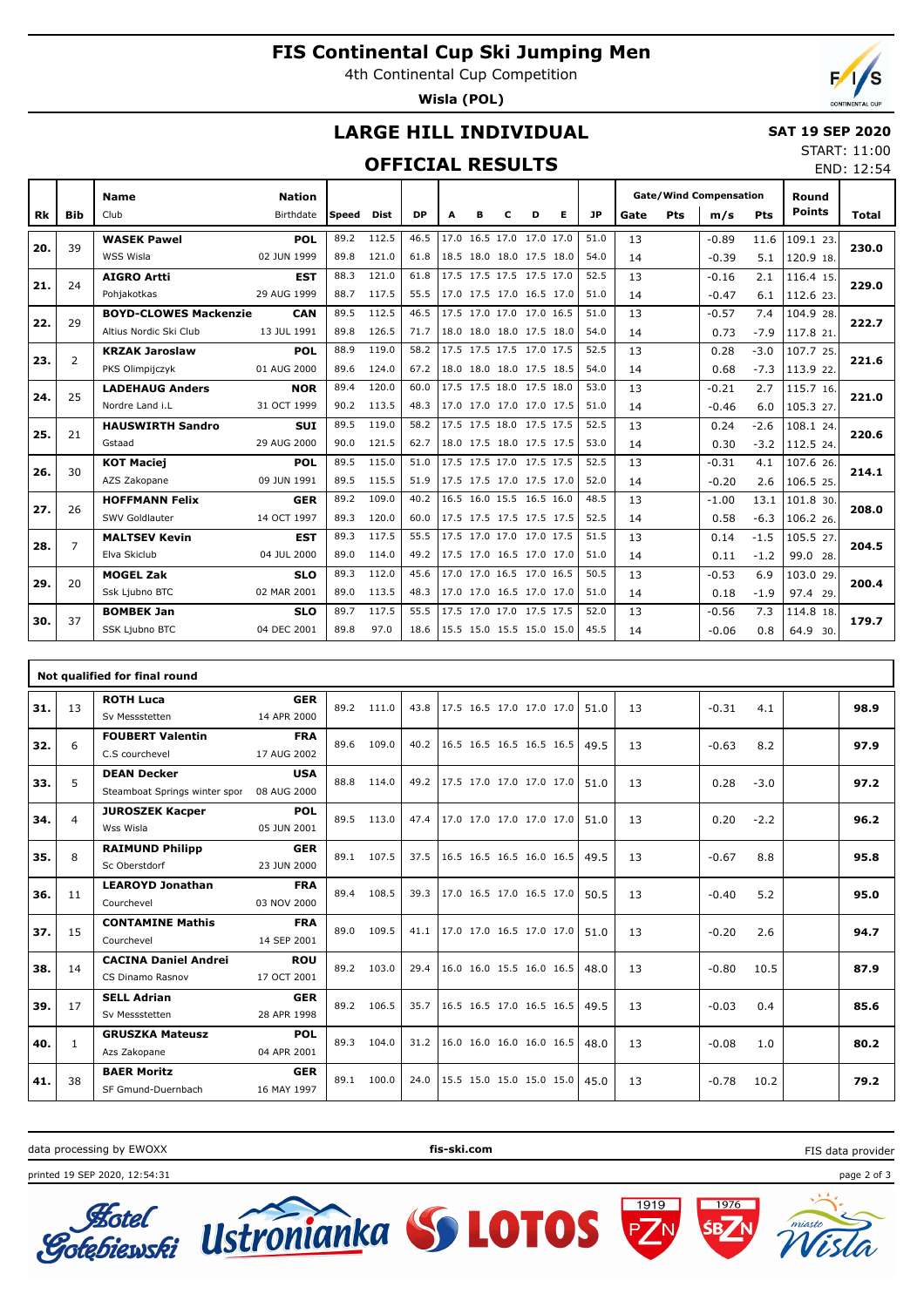## **FIS Continental Cup Ski Jumping Men**

4th Continental Cup Competition

**Wisla (POL)**

END: 12:54

## **LARGE HILL INDIVIDUAL**

### **SAT 19 SEP 2020** START: 11:00

## **OFFICIAL RESULTS**

|     |                | <b>Name</b>                  | <b>Nation</b> |       |       |           |                          |   |   |                          |   |           |      |     | <b>Gate/Wind Compensation</b> |        | Round         |       |
|-----|----------------|------------------------------|---------------|-------|-------|-----------|--------------------------|---|---|--------------------------|---|-----------|------|-----|-------------------------------|--------|---------------|-------|
| Rk  | <b>Bib</b>     | Club                         | Birthdate     | Speed | Dist  | <b>DP</b> | A                        | в | c | D                        | Е | <b>JP</b> | Gate | Pts | m/s                           | Pts    | <b>Points</b> | Total |
|     |                | <b>WASEK Pawel</b>           | <b>POL</b>    | 89.2  | 112.5 | 46.5      |                          |   |   | 17.0 16.5 17.0 17.0 17.0 |   | 51.0      | 13   |     | $-0.89$                       | 11.6   | 109.1 23.     |       |
| 20. | 39             | <b>WSS Wisla</b>             | 02 JUN 1999   | 89.8  | 121.0 | 61.8      |                          |   |   | 18.5 18.0 18.0 17.5 18.0 |   | 54.0      | 14   |     | $-0.39$                       | 5.1    | 120.9 18.     | 230.0 |
| 21. | 24             | <b>AIGRO Artti</b>           | <b>EST</b>    | 88.3  | 121.0 | 61.8      |                          |   |   | 17.5 17.5 17.5 17.5 17.0 |   | 52.5      | 13   |     | $-0.16$                       | 2.1    | 116.4 15.     | 229.0 |
|     |                | Pohjakotkas                  | 29 AUG 1999   | 88.7  | 117.5 | 55.5      | 17.0                     |   |   | 17.5 17.0 16.5 17.0      |   | 51.0      | 14   |     | $-0.47$                       | 6.1    | 112.6 23.     |       |
| 22. | 29             | <b>BOYD-CLOWES Mackenzie</b> | <b>CAN</b>    | 89.5  | 112.5 | 46.5      |                          |   |   | 17.5 17.0 17.0 17.0 16.5 |   | 51.0      | 13   |     | $-0.57$                       | 7.4    | 104.9 28.     | 222.7 |
|     |                | Altius Nordic Ski Club       | 13 JUL 1991   | 89.8  | 126.5 | 71.7      |                          |   |   | 18.0 18.0 18.0 17.5 18.0 |   | 54.0      | 14   |     | 0.73                          | $-7.9$ | 117.8 21      |       |
|     | $\overline{2}$ | <b>KRZAK Jaroslaw</b>        | <b>POL</b>    | 88.9  | 119.0 | 58.2      |                          |   |   | 17.5 17.5 17.5 17.0 17.5 |   | 52.5      | 13   |     | 0.28                          | $-3.0$ | 107.7 25.     | 221.6 |
| 23. |                | PKS Olimpijczyk              | 01 AUG 2000   | 89.6  | 124.0 | 67.2      |                          |   |   | 18.0 18.0 18.0 17.5 18.5 |   | 54.0      | 14   |     | 0.68                          | $-7.3$ | 113.9 22.     |       |
| 24. | 25             | <b>LADEHAUG Anders</b>       | <b>NOR</b>    | 89.4  | 120.0 | 60.0      |                          |   |   | 17.5 17.5 18.0 17.5 18.0 |   | 53.0      | 13   |     | $-0.21$                       | 2.7    | 115.7 16.     | 221.0 |
|     |                | Nordre Land i.L              | 31 OCT 1999   | 90.2  | 113.5 | 48.3      |                          |   |   | 17.0 17.0 17.0 17.0 17.5 |   | 51.0      | 14   |     | $-0.46$                       | 6.0    | 105.3 27.     |       |
| 25. | 21             | <b>HAUSWIRTH Sandro</b>      | <b>SUI</b>    | 89.5  | 119.0 | 58.2      |                          |   |   | 17.5 17.5 18.0 17.5 17.5 |   | 52.5      | 13   |     | 0.24                          | $-2.6$ | 108.1 24.     | 220.6 |
|     |                | Gstaad                       | 29 AUG 2000   | 90.0  | 121.5 | 62.7      |                          |   |   | 18.0 17.5 18.0 17.5 17.5 |   | 53.0      | 14   |     | 0.30                          | $-3.2$ | 112.5 24.     |       |
| 26. | 30             | <b>KOT Maciej</b>            | <b>POL</b>    | 89.5  | 115.0 | 51.0      |                          |   |   | 17.5 17.5 17.0 17.5 17.5 |   | 52.5      | 13   |     | $-0.31$                       | 4.1    | 107.6 26.     | 214.1 |
|     |                | AZS Zakopane                 | 09 JUN 1991   | 89.5  | 115.5 | 51.9      |                          |   |   | 17.5 17.5 17.0 17.5 17.0 |   | 52.0      | 14   |     | $-0.20$                       | 2.6    | 106.5 25.     |       |
| 27. | 26             | <b>HOFFMANN Felix</b>        | <b>GER</b>    | 89.2  | 109.0 | 40.2      |                          |   |   | 16.5 16.0 15.5 16.5 16.0 |   | 48.5      | 13   |     | $-1.00$                       | 13.1   | 101.8 30.     | 208.0 |
|     |                | SWV Goldlauter               | 14 OCT 1997   | 89.3  | 120.0 | 60.0      |                          |   |   | 17.5 17.5 17.5 17.5 17.5 |   | 52.5      | 14   |     | 0.58                          | $-6.3$ | 106.2 26.     |       |
| 28. | $\overline{7}$ | <b>MALTSEV Kevin</b>         | <b>EST</b>    | 89.3  | 117.5 | 55.5      |                          |   |   | 17.5 17.0 17.0 17.0 17.5 |   | 51.5      | 13   |     | 0.14                          | $-1.5$ | 105.5 27      | 204.5 |
|     |                | Elva Skiclub                 | 04 JUL 2000   | 89.0  | 114.0 | 49.2      |                          |   |   | 17.5 17.0 16.5 17.0 17.0 |   | 51.0      | 14   |     | 0.11                          | $-1.2$ | 99.0 28.      |       |
| 29. | 20             | <b>MOGEL Zak</b>             | <b>SLO</b>    | 89.3  | 112.0 | 45.6      |                          |   |   | 17.0 17.0 16.5 17.0 16.5 |   | 50.5      | 13   |     | $-0.53$                       | 6.9    | 103.0 29.     | 200.4 |
|     |                | Ssk Ljubno BTC               | 02 MAR 2001   | 89.0  | 113.5 | 48.3      |                          |   |   | 17.0 17.0 16.5 17.0 17.0 |   | 51.0      | 14   |     | 0.18                          | $-1.9$ | 97.4 29.      |       |
| 30. | 37             | <b>BOMBEK Jan</b>            | <b>SLO</b>    | 89.7  | 117.5 | 55.5      |                          |   |   | 17.5 17.0 17.0 17.5 17.5 |   | 52.0      | 13   |     | $-0.56$                       | 7.3    | 114.8 18.     | 179.7 |
|     |                | <b>SSK Ljubno BTC</b>        | 04 DEC 2001   | 89.8  | 97.0  | 18.6      | 15.5 15.0 15.5 15.0 15.0 |   |   |                          |   | 45.5      | 14   |     | $-0.06$                       | 0.8    | 64.9 30.      |       |

|     |                | Not qualified for final round |             |      |       |      |                          |  |      |    |         |        |      |
|-----|----------------|-------------------------------|-------------|------|-------|------|--------------------------|--|------|----|---------|--------|------|
| 31. | 13             | <b>ROTH Luca</b>              | <b>GER</b>  | 89.2 | 111.0 | 43.8 | 17.5 16.5 17.0 17.0 17.0 |  | 51.0 | 13 | $-0.31$ | 4.1    | 98.9 |
|     |                | Sv Messstetten                | 14 APR 2000 |      |       |      |                          |  |      |    |         |        |      |
| 32. | 6              | <b>FOUBERT Valentin</b>       | <b>FRA</b>  | 89.6 | 109.0 | 40.2 | 16.5 16.5 16.5 16.5 16.5 |  | 49.5 | 13 | $-0.63$ | 8.2    | 97.9 |
|     |                | C.S courchevel                | 17 AUG 2002 |      |       |      |                          |  |      |    |         |        |      |
| 33. | 5              | <b>DEAN Decker</b>            | <b>USA</b>  | 88.8 | 114.0 | 49.2 | 17.5 17.0 17.0 17.0 17.0 |  | 51.0 | 13 | 0.28    | $-3.0$ | 97.2 |
|     |                | Steamboat Springs winter spor | 08 AUG 2000 |      |       |      |                          |  |      |    |         |        |      |
| 34. | $\overline{4}$ | <b>JUROSZEK Kacper</b>        | <b>POL</b>  | 89.5 | 113.0 | 47.4 | 17.0 17.0 17.0 17.0 17.0 |  | 51.0 | 13 | 0.20    | $-2.2$ | 96.2 |
|     |                | Wss Wisla                     | 05 JUN 2001 |      |       |      |                          |  |      |    |         |        |      |
| 35. | 8              | <b>RAIMUND Philipp</b>        | <b>GER</b>  | 89.1 | 107.5 | 37.5 | 16.5 16.5 16.5 16.0 16.5 |  | 49.5 | 13 | $-0.67$ | 8.8    | 95.8 |
|     |                | Sc Oberstdorf                 | 23 JUN 2000 |      |       |      |                          |  |      |    |         |        |      |
| 36. | 11             | <b>LEAROYD Jonathan</b>       | <b>FRA</b>  | 89.4 | 108.5 | 39.3 | 17.0 16.5 17.0 16.5 17.0 |  | 50.5 | 13 | $-0.40$ | 5.2    | 95.0 |
|     |                | Courchevel                    | 03 NOV 2000 |      |       |      |                          |  |      |    |         |        |      |
| 37. | 15             | <b>CONTAMINE Mathis</b>       | <b>FRA</b>  | 89.0 | 109.5 | 41.1 | 17.0 17.0 16.5 17.0 17.0 |  | 51.0 | 13 | $-0.20$ | 2.6    | 94.7 |
|     |                | Courchevel                    | 14 SEP 2001 |      |       |      |                          |  |      |    |         |        |      |
| 38. | 14             | <b>CACINA Daniel Andrei</b>   | <b>ROU</b>  | 89.2 | 103.0 | 29.4 | 16.0 16.0 15.5 16.0 16.5 |  | 48.0 | 13 | $-0.80$ | 10.5   | 87.9 |
|     |                | CS Dinamo Rasnov              | 17 OCT 2001 |      |       |      |                          |  |      |    |         |        |      |
| 39. | 17             | <b>SELL Adrian</b>            | <b>GER</b>  | 89.2 | 106.5 | 35.7 | 16.5 16.5 17.0 16.5 16.5 |  | 49.5 | 13 | $-0.03$ | 0.4    | 85.6 |
|     |                | Sv Messstetten                | 28 APR 1998 |      |       |      |                          |  |      |    |         |        |      |
| 40. | $\mathbf{1}$   | <b>GRUSZKA Mateusz</b>        | <b>POL</b>  | 89.3 | 104.0 | 31.2 | 16.0 16.0 16.0 16.0 16.5 |  | 48.0 | 13 | $-0.08$ | 1.0    | 80.2 |
|     |                | Azs Zakopane                  | 04 APR 2001 |      |       |      |                          |  |      |    |         |        |      |
| 41. | 38             | <b>BAER Moritz</b>            | <b>GER</b>  | 89.1 | 100.0 | 24.0 | 15.5 15.0 15.0 15.0 15.0 |  | 45.0 | 13 | $-0.78$ | 10.2   | 79.2 |
|     |                | SF Gmund-Duernbach            | 16 MAY 1997 |      |       |      |                          |  |      |    |         |        |      |

data processing by EWOXX **fis-ski.com**

Ustronianka SS LOTOS

printed 19 SEP 2020, 12:54:31 page 2 of 3



FIS data provider